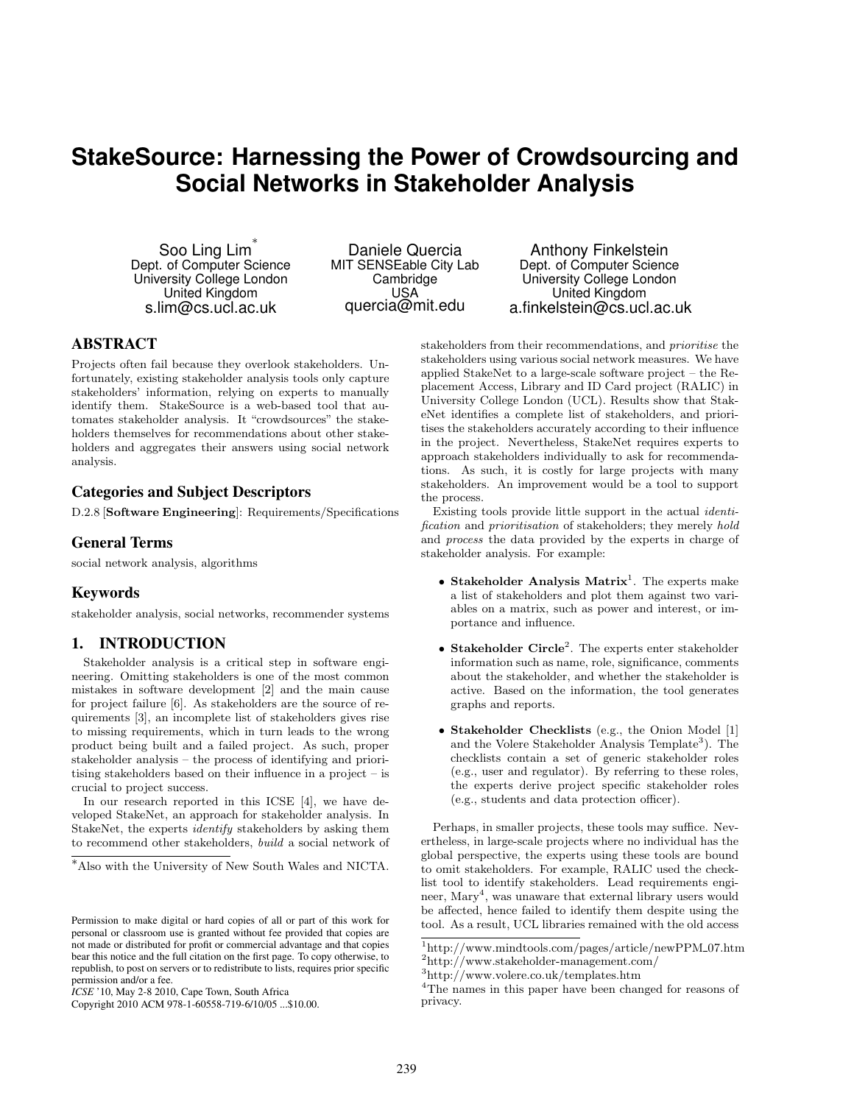# **StakeSource: Harnessing the Power of Crowdsourcing and Social Networks in Stakeholder Analysis**

Soo Ling Lim<sup>∗</sup> Dept. of Computer Science University College London United Kingdom s.lim@cs.ucl.ac.uk

Daniele Quercia MIT SENSEable City Lab Cambridge USA quercia@mit.edu

Anthony Finkelstein Dept. of Computer Science University College London United Kingdom a.finkelstein@cs.ucl.ac.uk

# ABSTRACT

Projects often fail because they overlook stakeholders. Unfortunately, existing stakeholder analysis tools only capture stakeholders' information, relying on experts to manually identify them. StakeSource is a web-based tool that automates stakeholder analysis. It "crowdsources" the stakeholders themselves for recommendations about other stakeholders and aggregates their answers using social network analysis.

# Categories and Subject Descriptors

D.2.8 [Software Engineering]: Requirements/Specifications

# General Terms

social network analysis, algorithms

## Keywords

stakeholder analysis, social networks, recommender systems

# 1. INTRODUCTION

Stakeholder analysis is a critical step in software engineering. Omitting stakeholders is one of the most common mistakes in software development [2] and the main cause for project failure [6]. As stakeholders are the source of requirements [3], an incomplete list of stakeholders gives rise to missing requirements, which in turn leads to the wrong product being built and a failed project. As such, proper stakeholder analysis – the process of identifying and prioritising stakeholders based on their influence in a project – is crucial to project success.

In our research reported in this ICSE [4], we have developed StakeNet, an approach for stakeholder analysis. In StakeNet, the experts identify stakeholders by asking them to recommend other stakeholders, build a social network of

Copyright 2010 ACM 978-1-60558-719-6/10/05 ...\$10.00.

the process. Existing tools provide little support in the actual identification and prioritisation of stakeholders; they merely hold and process the data provided by the experts in charge of stakeholder analysis. For example:

stakeholders from their recommendations, and prioritise the stakeholders using various social network measures. We have applied StakeNet to a large-scale software project – the Replacement Access, Library and ID Card project (RALIC) in University College London (UCL). Results show that StakeNet identifies a complete list of stakeholders, and prioritises the stakeholders accurately according to their influence in the project. Nevertheless, StakeNet requires experts to approach stakeholders individually to ask for recommendations. As such, it is costly for large projects with many stakeholders. An improvement would be a tool to support

- Stakeholder Analysis Matrix<sup>1</sup>. The experts make a list of stakeholders and plot them against two variables on a matrix, such as power and interest, or importance and influence.
- <sup>∙</sup> Stakeholder Circle<sup>2</sup>. The experts enter stakeholder information such as name, role, significance, comments about the stakeholder, and whether the stakeholder is active. Based on the information, the tool generates graphs and reports.
- ∙ Stakeholder Checklists (e.g., the Onion Model [1] and the Volere Stakeholder Analysis Template<sup>3</sup>). The checklists contain a set of generic stakeholder roles (e.g., user and regulator). By referring to these roles, the experts derive project specific stakeholder roles (e.g., students and data protection officer).

Perhaps, in smaller projects, these tools may suffice. Nevertheless, in large-scale projects where no individual has the global perspective, the experts using these tools are bound to omit stakeholders. For example, RALIC used the checklist tool to identify stakeholders. Lead requirements engineer, Mary<sup>4</sup>, was unaware that external library users would be affected, hence failed to identify them despite using the tool. As a result, UCL libraries remained with the old access

<sup>∗</sup>Also with the University of New South Wales and NICTA.

Permission to make digital or hard copies of all or part of this work for personal or classroom use is granted without fee provided that copies are not made or distributed for profit or commercial advantage and that copies bear this notice and the full citation on the first page. To copy otherwise, to republish, to post on servers or to redistribute to lists, requires prior specific permission and/or a fee.

*ICSE* '10, May 2-8 2010, Cape Town, South Africa

 $1<sup>1</sup>$ http://www.mindtools.com/pages/article/newPPM\_07.htm  $2<sup>2</sup>$ http://www.stakeholder-management.com/

<sup>3</sup>http://www.volere.co.uk/templates.htm

<sup>4</sup>The names in this paper have been changed for reasons of privacy.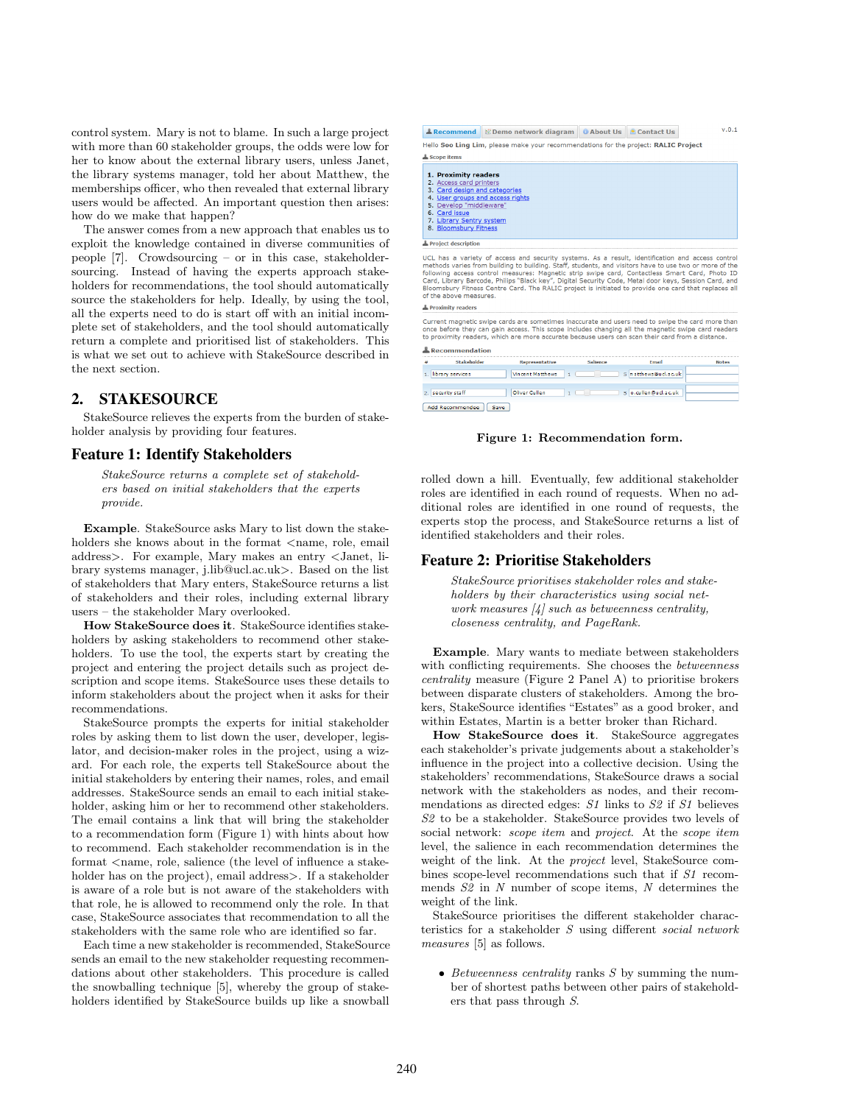control system. Mary is not to blame. In such a large project with more than 60 stakeholder groups, the odds were low for her to know about the external library users, unless Janet, the library systems manager, told her about Matthew, the memberships officer, who then revealed that external library users would be affected. An important question then arises: how do we make that happen?

The answer comes from a new approach that enables us to exploit the knowledge contained in diverse communities of people [7]. Crowdsourcing – or in this case, stakeholdersourcing. Instead of having the experts approach stakeholders for recommendations, the tool should automatically source the stakeholders for help. Ideally, by using the tool, all the experts need to do is start off with an initial incomplete set of stakeholders, and the tool should automatically return a complete and prioritised list of stakeholders. This is what we set out to achieve with StakeSource described in the next section.

# 2. STAKESOURCE

StakeSource relieves the experts from the burden of stakeholder analysis by providing four features.

#### Feature 1: Identify Stakeholders

StakeSource returns a complete set of stakeholders based on initial stakeholders that the experts provide.

Example. StakeSource asks Mary to list down the stakeholders she knows about in the format  $\leq$ name, role, email address>. For example, Mary makes an entry <Janet, library systems manager, j.lib@ucl.ac.uk>. Based on the list of stakeholders that Mary enters, StakeSource returns a list of stakeholders and their roles, including external library users – the stakeholder Mary overlooked.

How StakeSource does it. StakeSource identifies stakeholders by asking stakeholders to recommend other stakeholders. To use the tool, the experts start by creating the project and entering the project details such as project description and scope items. StakeSource uses these details to inform stakeholders about the project when it asks for their recommendations.

StakeSource prompts the experts for initial stakeholder roles by asking them to list down the user, developer, legislator, and decision-maker roles in the project, using a wizard. For each role, the experts tell StakeSource about the initial stakeholders by entering their names, roles, and email addresses. StakeSource sends an email to each initial stakeholder, asking him or her to recommend other stakeholders. The email contains a link that will bring the stakeholder to a recommendation form (Figure 1) with hints about how to recommend. Each stakeholder recommendation is in the format  $\langle$ name, role, salience (the level of influence a stakeholder has on the project), email address>. If a stakeholder is aware of a role but is not aware of the stakeholders with that role, he is allowed to recommend only the role. In that case, StakeSource associates that recommendation to all the stakeholders with the same role who are identified so far.

Each time a new stakeholder is recommended, StakeSource sends an email to the new stakeholder requesting recommendations about other stakeholders. This procedure is called the snowballing technique [5], whereby the group of stakeholders identified by StakeSource builds up like a snowball



A Recommend | EDemo network diagram | 0 About Us | 2 Contact Us Hello Soo Ling Lim, please make your recommendations for the project: RALIC Project



& Scope items

Figure 1: Recommendation form.

rolled down a hill. Eventually, few additional stakeholder roles are identified in each round of requests. When no additional roles are identified in one round of requests, the experts stop the process, and StakeSource returns a list of identified stakeholders and their roles.

#### Feature 2: Prioritise Stakeholders

StakeSource prioritises stakeholder roles and stakeholders by their characteristics using social network measures  $[4]$  such as betweenness centrality, closeness centrality, and PageRank.

Example. Mary wants to mediate between stakeholders with conflicting requirements. She chooses the *betweenness* centrality measure (Figure 2 Panel A) to prioritise brokers between disparate clusters of stakeholders. Among the brokers, StakeSource identifies "Estates" as a good broker, and within Estates, Martin is a better broker than Richard.

How StakeSource does it. StakeSource aggregates each stakeholder's private judgements about a stakeholder's influence in the project into a collective decision. Using the stakeholders' recommendations, StakeSource draws a social network with the stakeholders as nodes, and their recommendations as directed edges: S1 links to S2 if S1 believes S2 to be a stakeholder. StakeSource provides two levels of social network: *scope item* and *project*. At the *scope item* level, the salience in each recommendation determines the weight of the link. At the *project* level, StakeSource combines scope-level recommendations such that if S1 recommends  $S2$  in  $N$  number of scope items,  $N$  determines the weight of the link.

StakeSource prioritises the different stakeholder characteristics for a stakeholder S using different social network measures [5] as follows.

∙ Betweenness centrality ranks S by summing the number of shortest paths between other pairs of stakeholders that pass through S.

 $v.0.1$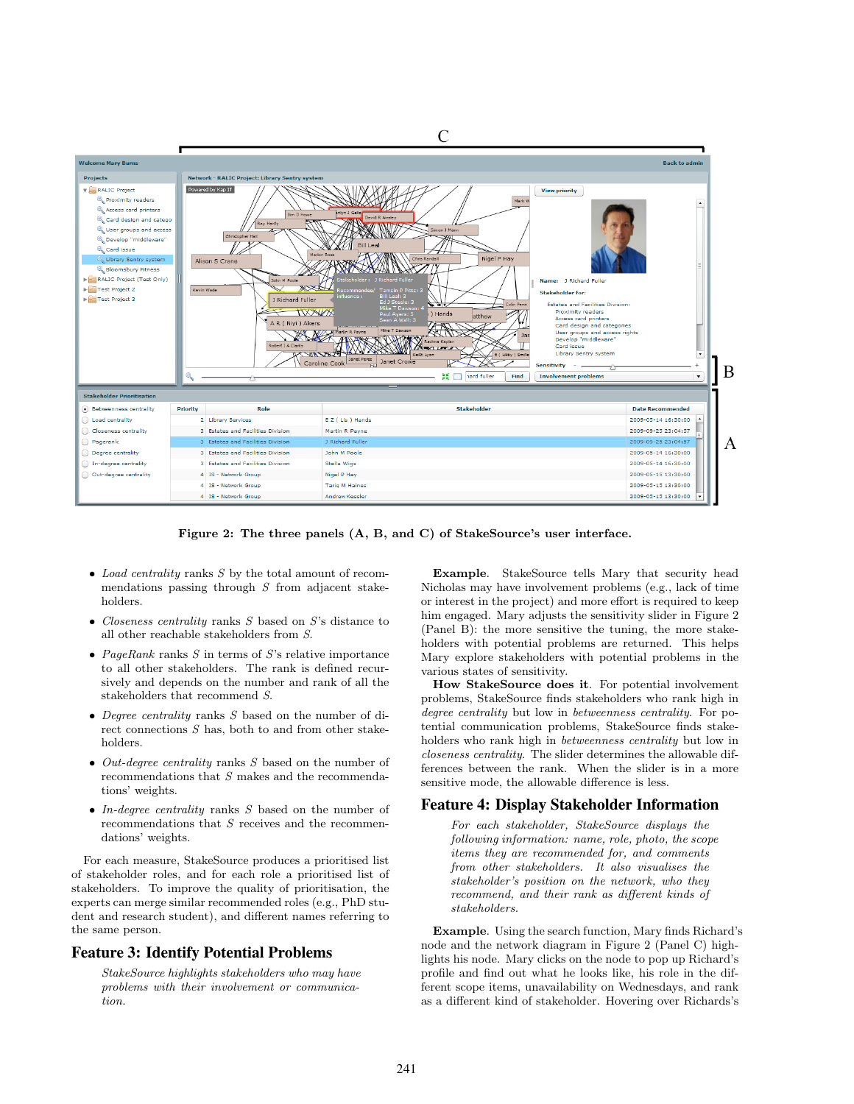

Figure 2: The three panels (A, B, and C) of StakeSource's user interface.

- ∙ Load centrality ranks S by the total amount of recommendations passing through  $S$  from adjacent stakeholders.
- ∙ Closeness centrality ranks S based on S's distance to all other reachable stakeholders from S.
- ∙ PageRank ranks S in terms of S's relative importance to all other stakeholders. The rank is defined recursively and depends on the number and rank of all the stakeholders that recommend S.
- ∙ Degree centrality ranks S based on the number of direct connections S has, both to and from other stakeholders.
- ∙ Out-degree centrality ranks S based on the number of recommendations that  $S$  makes and the recommendations' weights.
- ∙ In-degree centrality ranks S based on the number of recommendations that S receives and the recommendations' weights.

For each measure, StakeSource produces a prioritised list of stakeholder roles, and for each role a prioritised list of stakeholders. To improve the quality of prioritisation, the experts can merge similar recommended roles (e.g., PhD student and research student), and different names referring to the same person.

# Feature 3: Identify Potential Problems

StakeSource highlights stakeholders who may have problems with their involvement or communication.

Example. StakeSource tells Mary that security head Nicholas may have involvement problems (e.g., lack of time or interest in the project) and more effort is required to keep him engaged. Mary adjusts the sensitivity slider in Figure 2 (Panel B): the more sensitive the tuning, the more stakeholders with potential problems are returned. This helps Mary explore stakeholders with potential problems in the various states of sensitivity.

How StakeSource does it. For potential involvement problems, StakeSource finds stakeholders who rank high in degree centrality but low in betweenness centrality. For potential communication problems, StakeSource finds stakeholders who rank high in betweenness centrality but low in closeness centrality. The slider determines the allowable differences between the rank. When the slider is in a more sensitive mode, the allowable difference is less.

### Feature 4: Display Stakeholder Information

For each stakeholder, StakeSource displays the following information: name, role, photo, the scope items they are recommended for, and comments from other stakeholders. It also visualises the stakeholder's position on the network, who they recommend, and their rank as different kinds of stakeholders.

Example. Using the search function, Mary finds Richard's node and the network diagram in Figure 2 (Panel C) highlights his node. Mary clicks on the node to pop up Richard's profile and find out what he looks like, his role in the different scope items, unavailability on Wednesdays, and rank as a different kind of stakeholder. Hovering over Richards's